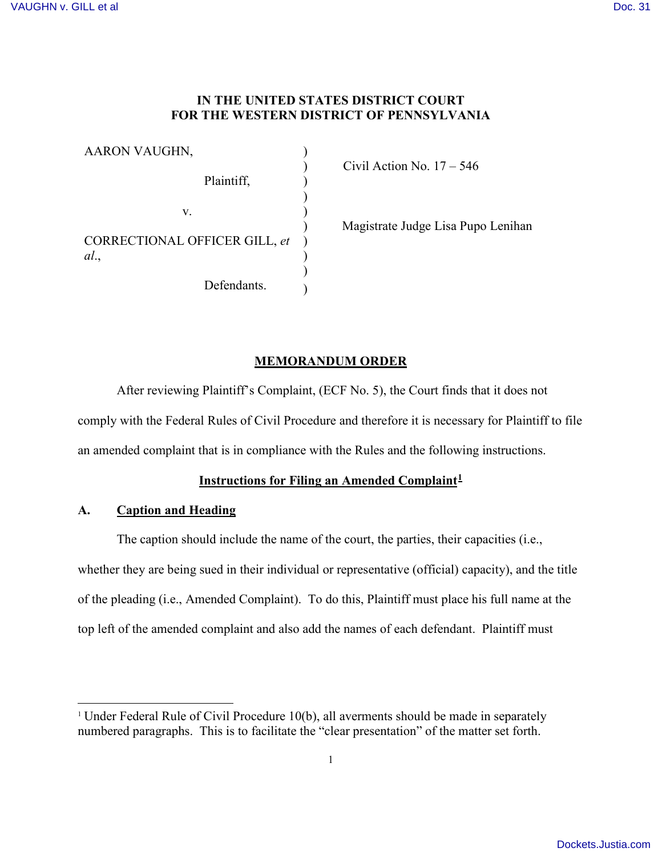## **IN THE UNITED STATES DISTRICT COURT FOR THE WESTERN DISTRICT OF PENNSYLVANIA**

| AARON VAUGHN,                        |  |
|--------------------------------------|--|
| Plaintiff,                           |  |
| V.                                   |  |
| CORRECTIONAL OFFICER GILL, et<br>al. |  |
| Defendants.                          |  |

) Civil Action No. 17 – 546

) Magistrate Judge Lisa Pupo Lenihan

# **MEMORANDUM ORDER**

After reviewing Plaintiff's Complaint, (ECF No. 5), the Court finds that it does not comply with the Federal Rules of Civil Procedure and therefore it is necessary for Plaintiff to file an amended complaint that is in compliance with the Rules and the following instructions.

# **Instructions for Filing an Amended Complaint[1](#page-0-0)**

### **A. Caption and Heading**

The caption should include the name of the court, the parties, their capacities (i.e., whether they are being sued in their individual or representative (official) capacity), and the title of the pleading (i.e., Amended Complaint). To do this, Plaintiff must place his full name at the top left of the amended complaint and also add the names of each defendant. Plaintiff must

<span id="page-0-0"></span> $\overline{a}$ <sup>1</sup> Under Federal Rule of Civil Procedure 10(b), all averments should be made in separately numbered paragraphs. This is to facilitate the "clear presentation" of the matter set forth.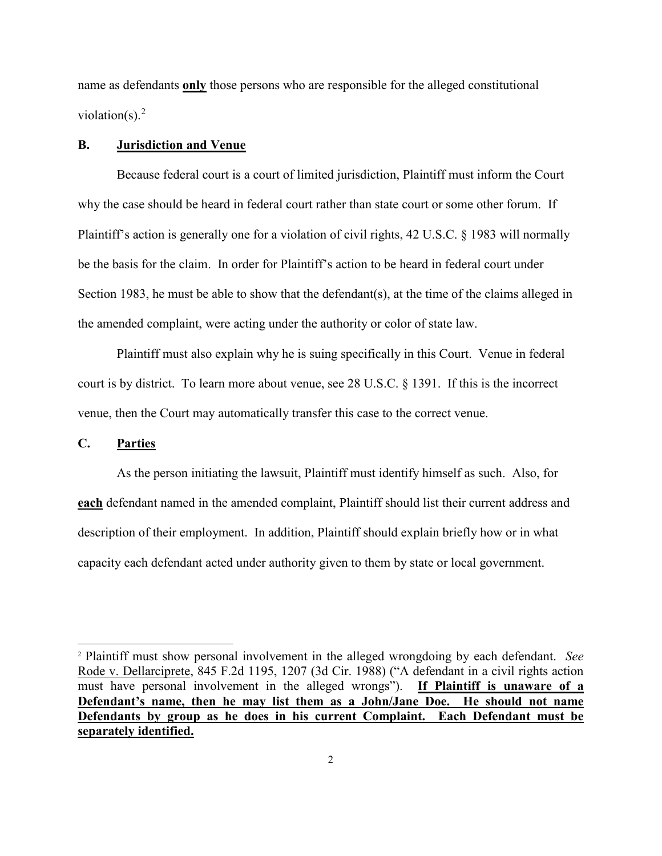name as defendants **only** those persons who are responsible for the alleged constitutional violation(s). $<sup>2</sup>$  $<sup>2</sup>$  $<sup>2</sup>$ </sup>

### **B. Jurisdiction and Venue**

Because federal court is a court of limited jurisdiction, Plaintiff must inform the Court why the case should be heard in federal court rather than state court or some other forum. If Plaintiff's action is generally one for a violation of civil rights, 42 U.S.C. § 1983 will normally be the basis for the claim. In order for Plaintiff's action to be heard in federal court under Section 1983, he must be able to show that the defendant(s), at the time of the claims alleged in the amended complaint, were acting under the authority or color of state law.

Plaintiff must also explain why he is suing specifically in this Court. Venue in federal court is by district. To learn more about venue, see 28 U.S.C. § 1391. If this is the incorrect venue, then the Court may automatically transfer this case to the correct venue.

### **C. Parties**

 $\overline{a}$ 

As the person initiating the lawsuit, Plaintiff must identify himself as such. Also, for **each** defendant named in the amended complaint, Plaintiff should list their current address and description of their employment. In addition, Plaintiff should explain briefly how or in what capacity each defendant acted under authority given to them by state or local government.

<span id="page-1-0"></span><sup>2</sup> Plaintiff must show personal involvement in the alleged wrongdoing by each defendant. *See* Rode v. Dellarciprete, 845 F.2d 1195, 1207 (3d Cir. 1988) ("A defendant in a civil rights action must have personal involvement in the alleged wrongs"). **If Plaintiff is unaware of a Defendant's name, then he may list them as a John/Jane Doe. He should not name Defendants by group as he does in his current Complaint. Each Defendant must be separately identified.**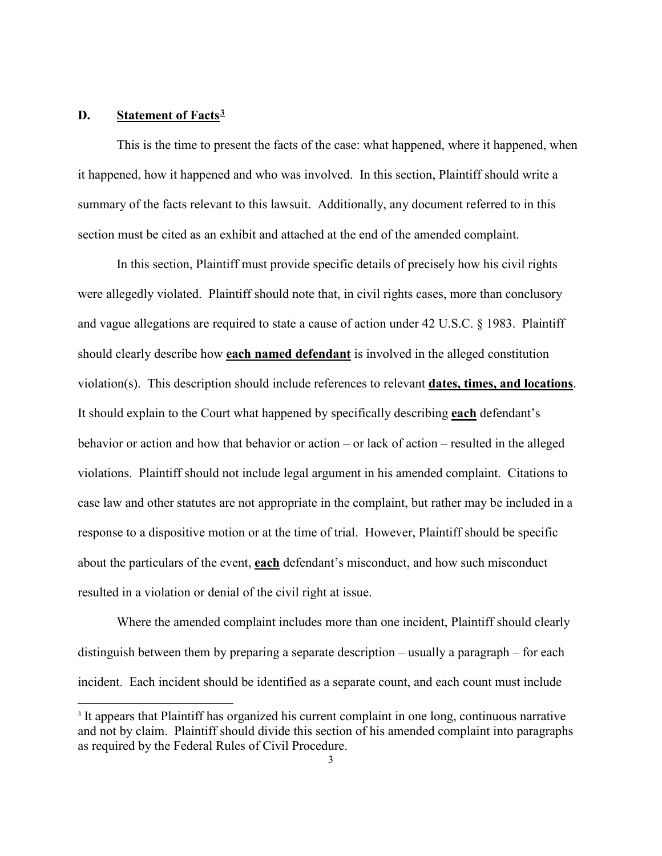### **D. Statement of Facts[3](#page-2-0)**

-

This is the time to present the facts of the case: what happened, where it happened, when it happened, how it happened and who was involved. In this section, Plaintiff should write a summary of the facts relevant to this lawsuit. Additionally, any document referred to in this section must be cited as an exhibit and attached at the end of the amended complaint.

In this section, Plaintiff must provide specific details of precisely how his civil rights were allegedly violated. Plaintiff should note that, in civil rights cases, more than conclusory and vague allegations are required to state a cause of action under 42 U.S.C. § 1983. Plaintiff should clearly describe how **each named defendant** is involved in the alleged constitution violation(s). This description should include references to relevant **dates, times, and locations**. It should explain to the Court what happened by specifically describing **each** defendant's behavior or action and how that behavior or action – or lack of action – resulted in the alleged violations. Plaintiff should not include legal argument in his amended complaint. Citations to case law and other statutes are not appropriate in the complaint, but rather may be included in a response to a dispositive motion or at the time of trial. However, Plaintiff should be specific about the particulars of the event, **each** defendant's misconduct, and how such misconduct resulted in a violation or denial of the civil right at issue.

Where the amended complaint includes more than one incident, Plaintiff should clearly distinguish between them by preparing a separate description – usually a paragraph – for each incident. Each incident should be identified as a separate count, and each count must include

<span id="page-2-0"></span><sup>&</sup>lt;sup>3</sup> It appears that Plaintiff has organized his current complaint in one long, continuous narrative and not by claim. Plaintiff should divide this section of his amended complaint into paragraphs as required by the Federal Rules of Civil Procedure.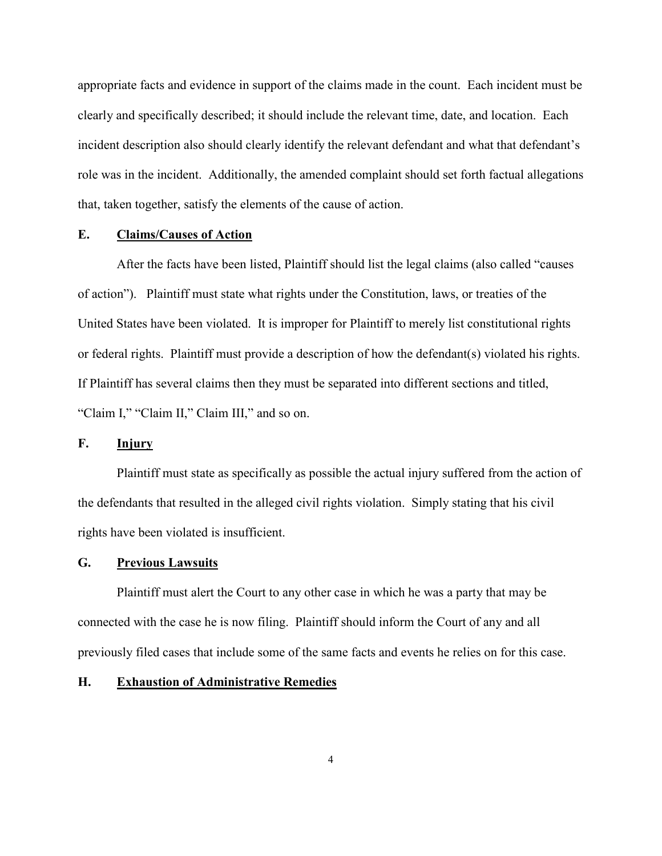appropriate facts and evidence in support of the claims made in the count. Each incident must be clearly and specifically described; it should include the relevant time, date, and location. Each incident description also should clearly identify the relevant defendant and what that defendant's role was in the incident. Additionally, the amended complaint should set forth factual allegations that, taken together, satisfy the elements of the cause of action.

## **E. Claims/Causes of Action**

After the facts have been listed, Plaintiff should list the legal claims (also called "causes of action"). Plaintiff must state what rights under the Constitution, laws, or treaties of the United States have been violated. It is improper for Plaintiff to merely list constitutional rights or federal rights. Plaintiff must provide a description of how the defendant(s) violated his rights. If Plaintiff has several claims then they must be separated into different sections and titled, "Claim I," "Claim II," Claim III," and so on.

### **F. Injury**

Plaintiff must state as specifically as possible the actual injury suffered from the action of the defendants that resulted in the alleged civil rights violation. Simply stating that his civil rights have been violated is insufficient.

#### **G. Previous Lawsuits**

Plaintiff must alert the Court to any other case in which he was a party that may be connected with the case he is now filing. Plaintiff should inform the Court of any and all previously filed cases that include some of the same facts and events he relies on for this case.

#### **H. Exhaustion of Administrative Remedies**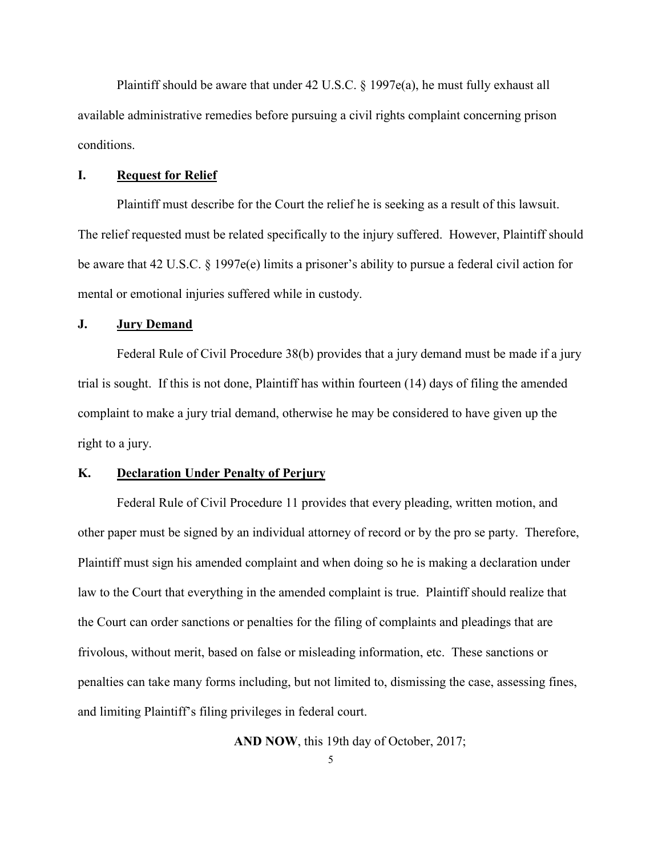Plaintiff should be aware that under 42 U.S.C. § 1997e(a), he must fully exhaust all available administrative remedies before pursuing a civil rights complaint concerning prison conditions.

### **I. Request for Relief**

Plaintiff must describe for the Court the relief he is seeking as a result of this lawsuit. The relief requested must be related specifically to the injury suffered. However, Plaintiff should be aware that 42 U.S.C. § 1997e(e) limits a prisoner's ability to pursue a federal civil action for mental or emotional injuries suffered while in custody.

### **J. Jury Demand**

Federal Rule of Civil Procedure 38(b) provides that a jury demand must be made if a jury trial is sought. If this is not done, Plaintiff has within fourteen (14) days of filing the amended complaint to make a jury trial demand, otherwise he may be considered to have given up the right to a jury.

### **K. Declaration Under Penalty of Perjury**

Federal Rule of Civil Procedure 11 provides that every pleading, written motion, and other paper must be signed by an individual attorney of record or by the pro se party. Therefore, Plaintiff must sign his amended complaint and when doing so he is making a declaration under law to the Court that everything in the amended complaint is true. Plaintiff should realize that the Court can order sanctions or penalties for the filing of complaints and pleadings that are frivolous, without merit, based on false or misleading information, etc. These sanctions or penalties can take many forms including, but not limited to, dismissing the case, assessing fines, and limiting Plaintiff's filing privileges in federal court.

**AND NOW**, this 19th day of October, 2017;

5